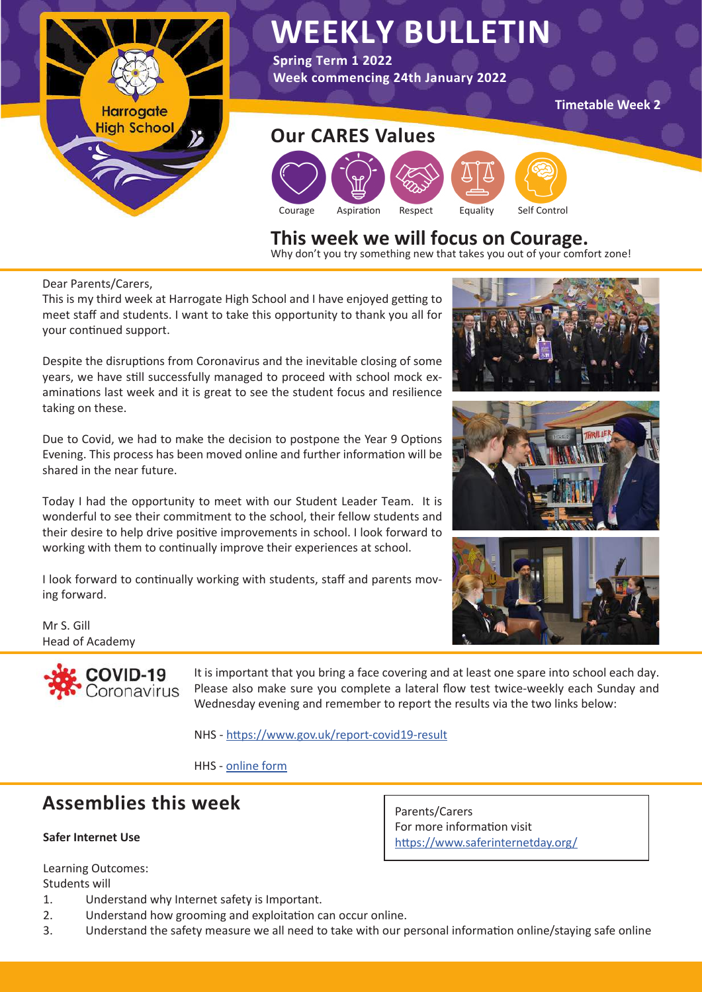

## **WEEKLY BULLETIN**

**Spring Term 1 2022 Week commencing 24th January 2022**

**Timetable Week 2** 

# Courage Aspiration Respect Equality Self Control **Our CARES Values**

## **This week we will focus on Courage.** Why don't you try something new that takes you out of your comfort zone!

Dear Parents/Carers,

This is my third week at Harrogate High School and I have enjoyed getting to meet staff and students. I want to take this opportunity to thank you all for your continued support.

Despite the disruptions from Coronavirus and the inevitable closing of some years, we have still successfully managed to proceed with school mock examinations last week and it is great to see the student focus and resilience taking on these.

Due to Covid, we had to make the decision to postpone the Year 9 Options Evening. This process has been moved online and further information will be shared in the near future.

Today I had the opportunity to meet with our Student Leader Team. It is wonderful to see their commitment to the school, their fellow students and their desire to help drive positive improvements in school. I look forward to working with them to continually improve their experiences at school.

I look forward to continually working with students, staff and parents moving forward.

Mr S. Gill Head of Academy



It is important that you bring a face covering and at least one spare into school each day. Please also make sure you complete a lateral flow test twice-weekly each Sunday and Wednesday evening and remember to report the results via the two links below:

Parents/Carers

For more information visit

<https://www.saferinternetday.org/>

NHS - <https://www.gov.uk/report-covid19-result>

HHS - [online form](https://forms.office.com/pages/responsepage.aspx?id=GhaYxbqJLk6S1ihcNV5AH8vfNh_xIrNCmubf4oWNaidUNlRLQVc4Ujc1SUMxUFRUSEtOWkJMTU5VUi4u)

#### **Assemblies this week**

#### **Safer Internet Use**

Learning Outcomes: Students will

- 1. Understand why Internet safety is Important.
- 2. Understand how grooming and exploitation can occur online.
- 3. Understand the safety measure we all need to take with our personal information online/staying safe online





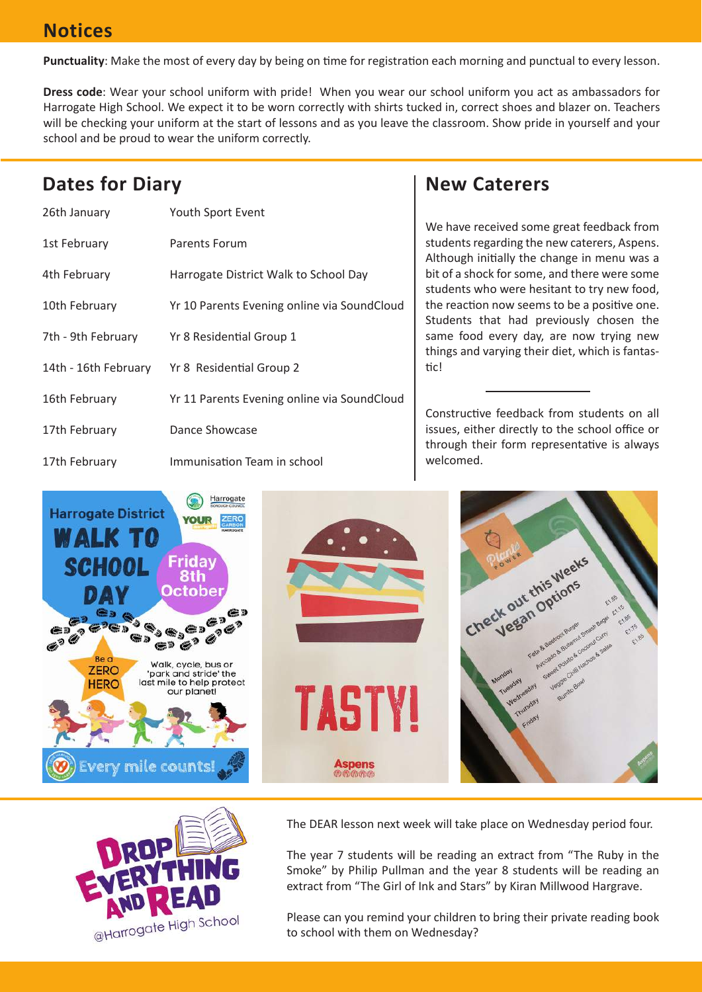#### **Notices**

**Punctuality**: Make the most of every day by being on time for registration each morning and punctual to every lesson.

**Dress code**: Wear your school uniform with pride! When you wear our school uniform you act as ambassadors for Harrogate High School. We expect it to be worn correctly with shirts tucked in, correct shoes and blazer on. Teachers will be checking your uniform at the start of lessons and as you leave the classroom. Show pride in yourself and your school and be proud to wear the uniform correctly.

#### **Dates for Diary**

| 26th January         | Youth Sport Event                           |
|----------------------|---------------------------------------------|
| 1st February         | Parents Forum                               |
| 4th February         | Harrogate District Walk to School Day       |
| 10th February        | Yr 10 Parents Evening online via SoundCloud |
| 7th - 9th February   | Yr 8 Residential Group 1                    |
| 14th - 16th February | Yr 8 Residential Group 2                    |
| 16th February        | Yr 11 Parents Evening online via SoundCloud |
| 17th February        | Dance Showcase                              |
| 17th February        | Immunisation Team in school                 |

#### **New Caterers**

We have received some great feedback from students regarding the new caterers, Aspens. Although initially the change in menu was a bit of a shock for some, and there were some students who were hesitant to try new food, the reaction now seems to be a positive one. Students that had previously chosen the same food every day, are now trying new things and varying their diet, which is fantastic!

Constructive feedback from students on all issues, either directly to the school office or through their form representative is always welcomed.





The DEAR lesson next week will take place on Wednesday period four.

The year 7 students will be reading an extract from "The Ruby in the Smoke" by Philip Pullman and the year 8 students will be reading an extract from "The Girl of Ink and Stars" by Kiran Millwood Hargrave.

Please can you remind your children to bring their private reading book to school with them on Wednesday?